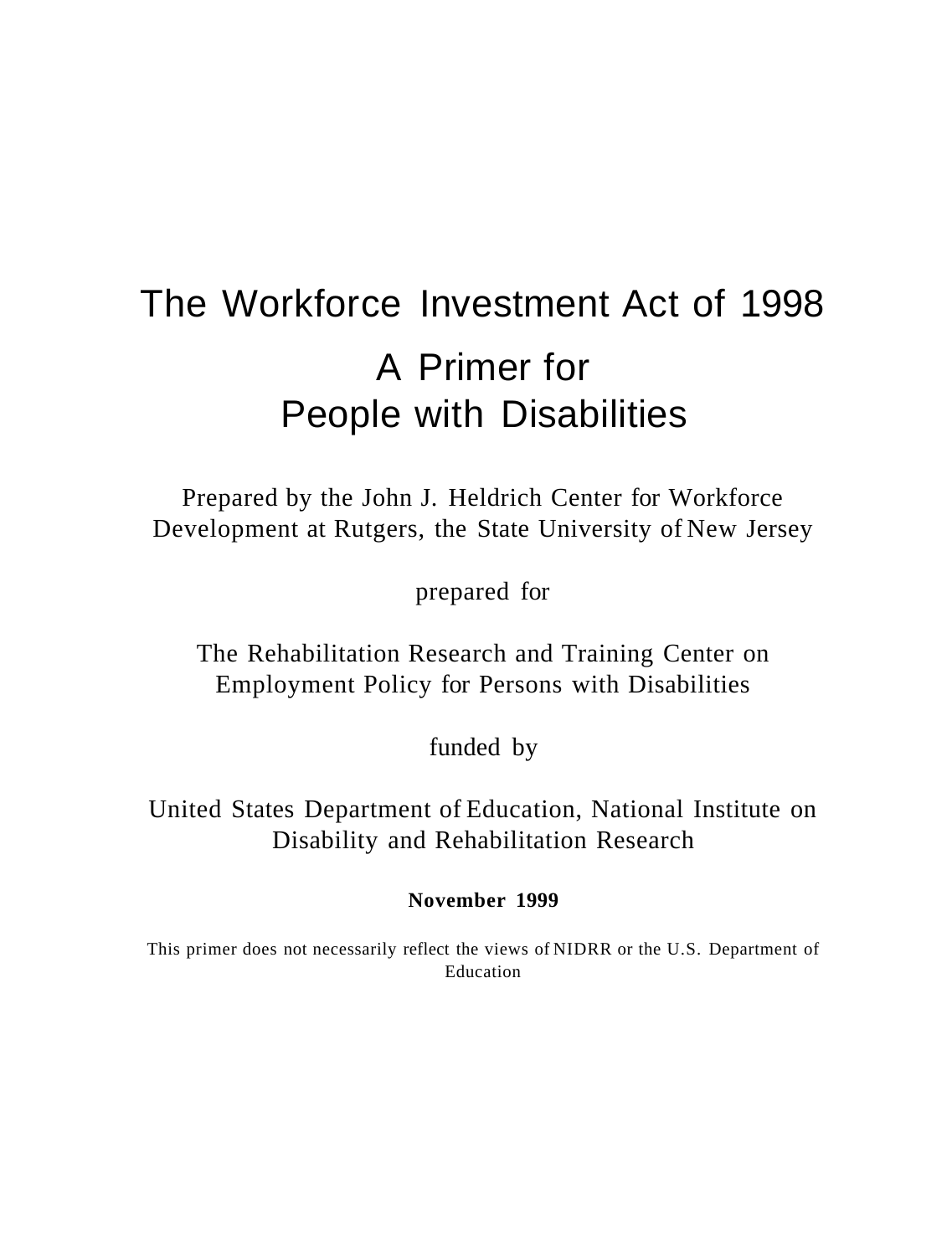# The Workforce Investment Act of 1998 A Primer for People with Disabilities

Prepared by the John J. Heldrich Center for Workforce Development at Rutgers, the State University of New Jersey

prepared for

The Rehabilitation Research and Training Center on Employment Policy for Persons with Disabilities

funded by

United States Department of Education, National Institute on Disability and Rehabilitation Research

**November 1999** 

This primer does not necessarily reflect the views of NIDRR or the U.S. Department of Education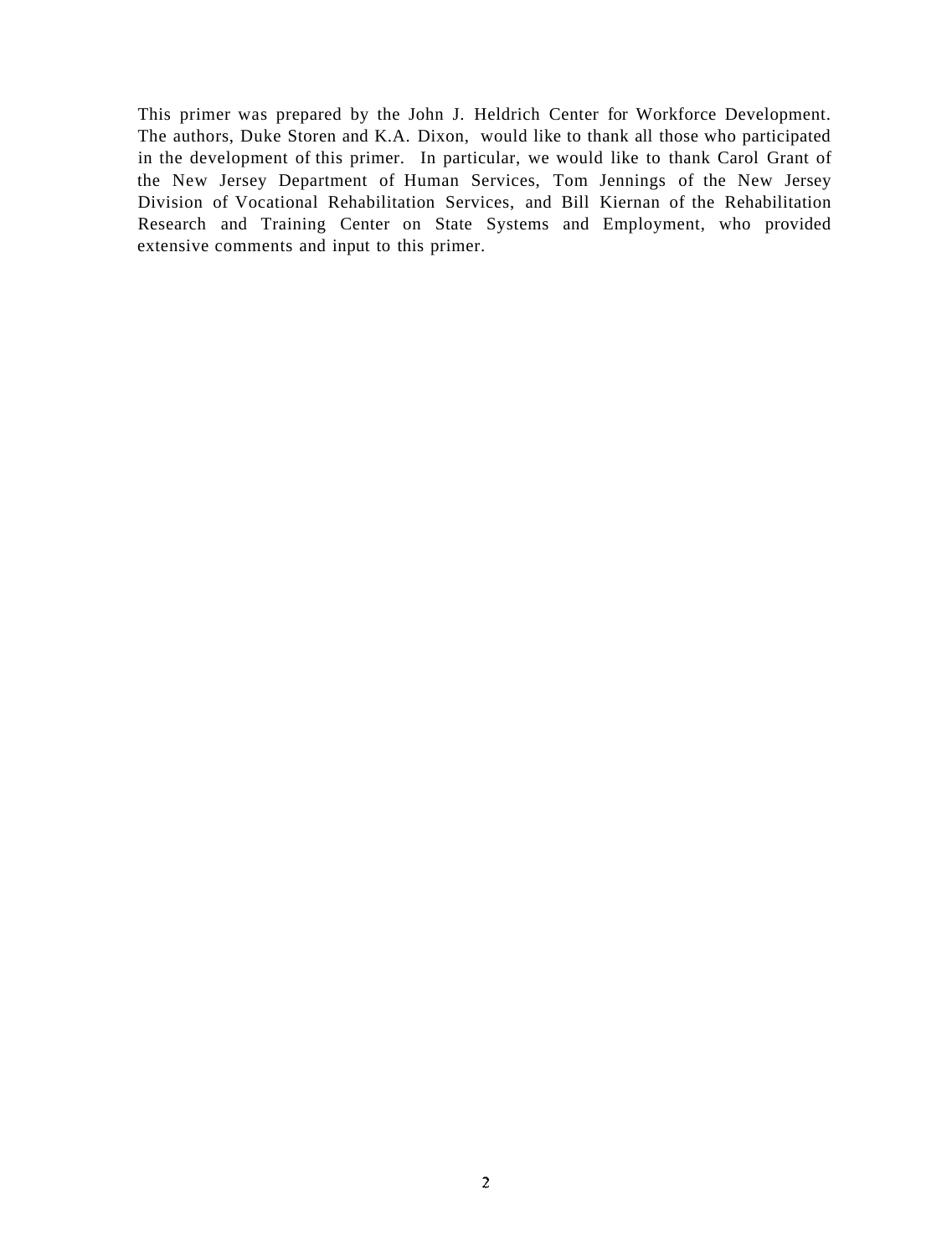This primer was prepared by the John J. Heldrich Center for Workforce Development. The authors, Duke Storen and K.A. Dixon, would like to thank all those who participated in the development of this primer. In particular, we would like to thank Carol Grant of the New Jersey Department of Human Services, Tom Jennings of the New Jersey Division of Vocational Rehabilitation Services, and Bill Kiernan of the Rehabilitation Research and Training Center on State Systems and Employment, who provided extensive comments and input to this primer.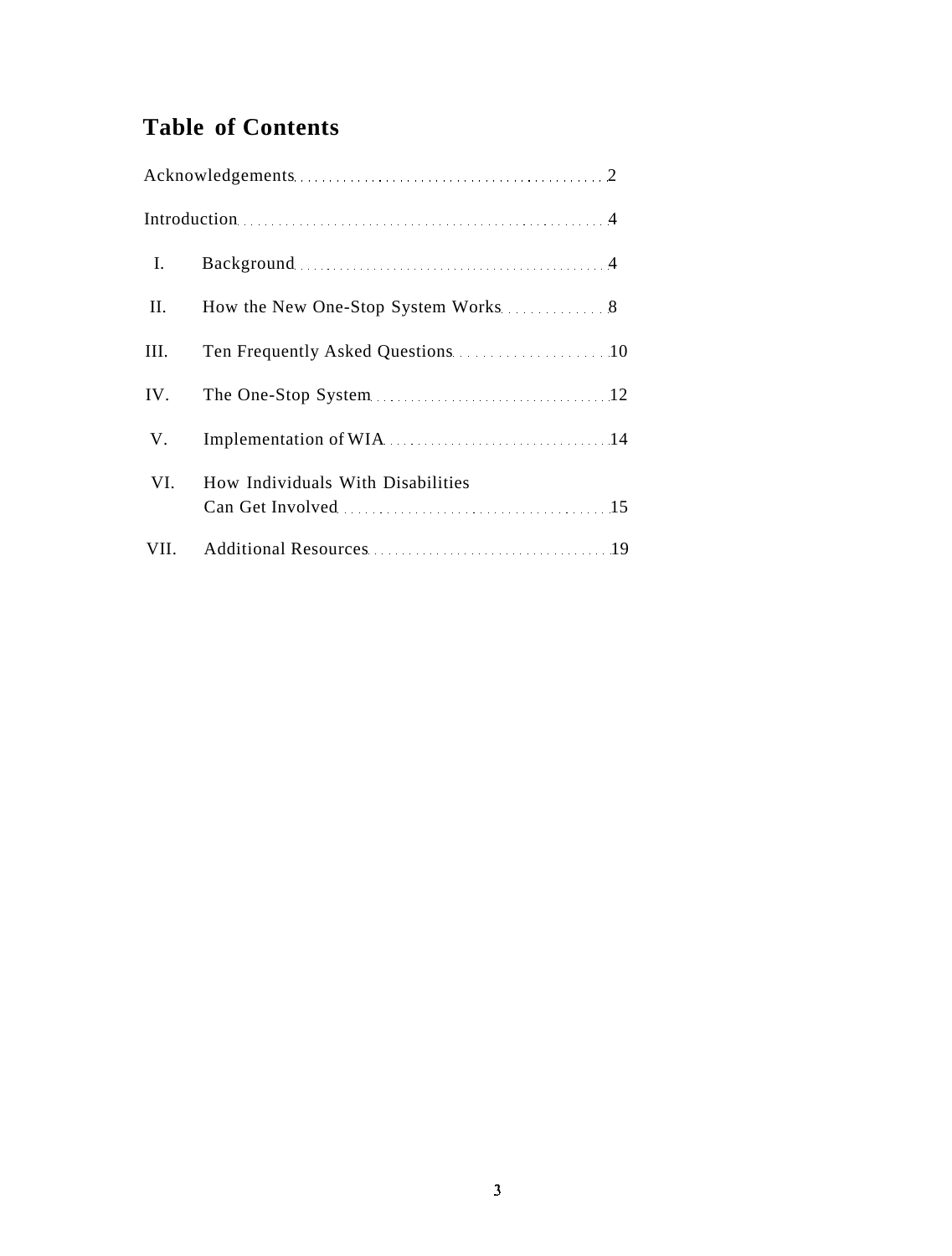# **Table of Contents**

|                | Introduction 4                                                                                                                                                                                                                 |  |
|----------------|--------------------------------------------------------------------------------------------------------------------------------------------------------------------------------------------------------------------------------|--|
| $\mathbf{I}$ . | Background 2008 and 2008 and 2008 and 2008 and 2008 and 2008 and 2008 and 2008 and 2008 and 2008 and 2008 and 2008 and 2008 and 2008 and 2008 and 2008 and 2008 and 2008 and 2008 and 2008 and 2008 and 2008 and 2008 and 2008 |  |
| II.            | How the New One-Stop System Works 38                                                                                                                                                                                           |  |
| III.           | Ten Frequently Asked Questions 10                                                                                                                                                                                              |  |
| IV.            |                                                                                                                                                                                                                                |  |
| V.             | Implementation of WIA 2000 MID 2000 MID 2000 MID 2000 MID 2000 MID 2000 MID 2000 MID 2000 MID 2000 MID 2000 MID 2000 MID 2000 MID 2000 MID 2000 MID 2000 MID 2000 MID 2000 MID 2000 MID 2000 MID 2000 MID 2000 MID 2000 MID 20 |  |
| VI.            | How Individuals With Disabilities                                                                                                                                                                                              |  |
| VII.           |                                                                                                                                                                                                                                |  |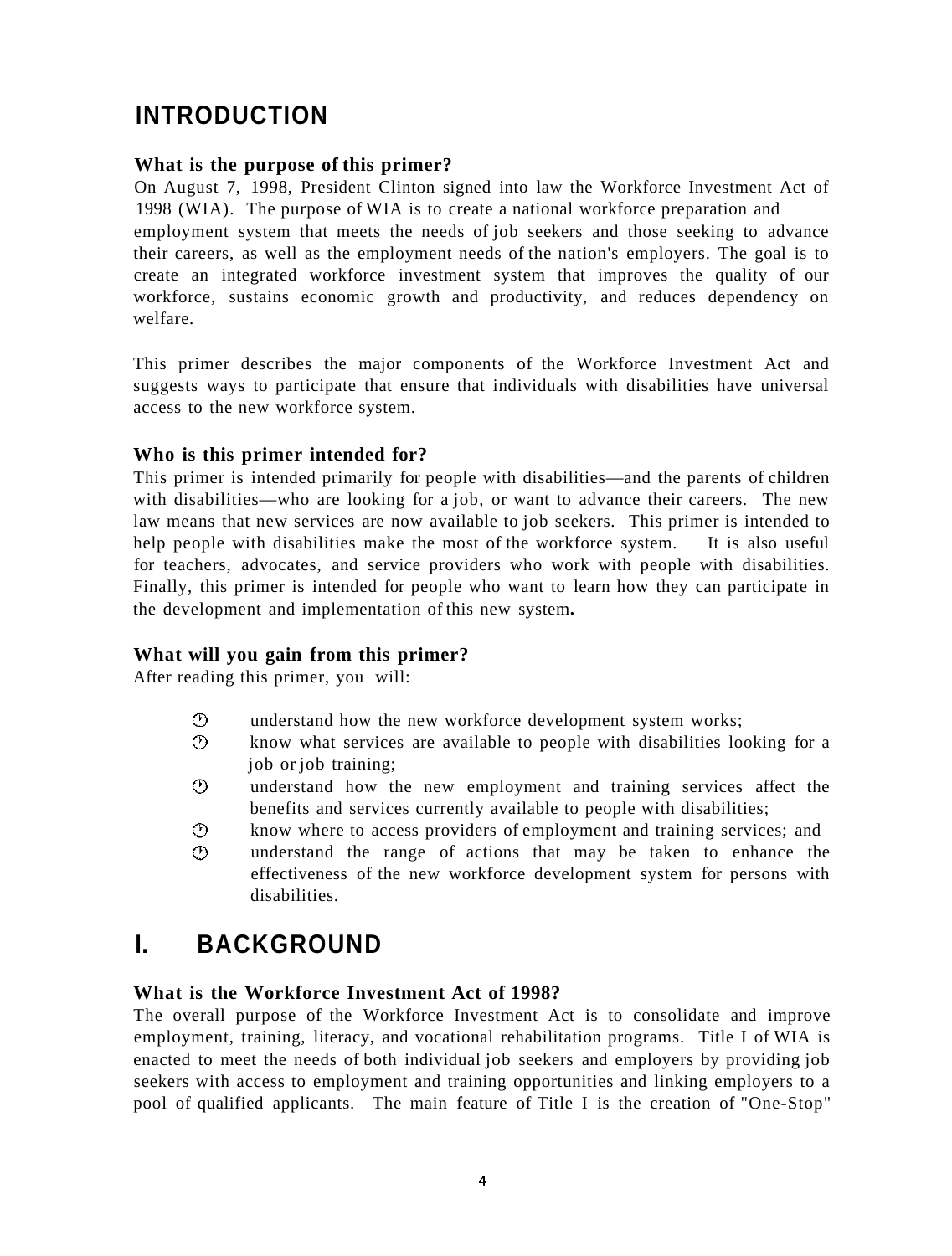# **INTRODUCTION**

#### **What is the purpose of this primer?**

On August 7, 1998, President Clinton signed into law the Workforce Investment Act of 1998 (WIA). The purpose of WIA is to create a national workforce preparation and employment system that meets the needs of job seekers and those seeking to advance their careers, as well as the employment needs of the nation's employers. The goal is to create an integrated workforce investment system that improves the quality of our workforce, sustains economic growth and productivity, and reduces dependency on welfare.

This primer describes the major components of the Workforce Investment Act and suggests ways to participate that ensure that individuals with disabilities have universal access to the new workforce system.

#### **Who is this primer intended for?**

This primer is intended primarily for people with disabilities—and the parents of children with disabilities—who are looking for a job, or want to advance their careers. The new law means that new services are now available to job seekers. This primer is intended to help people with disabilities make the most of the workforce system. It is also useful for teachers, advocates, and service providers who work with people with disabilities. Finally, this primer is intended for people who want to learn how they can participate in the development and implementation of this new system**.** 

#### **What will you gain from this primer?**

After reading this primer, you will:

- $\bigcirc$ understand how the new workforce development system works;
- $\circ$ know what services are available to people with disabilities looking for a job or job training;
- $\odot$ understand how the new employment and training services affect the benefits and services currently available to people with disabilities;
- ⊙ know where to access providers of employment and training services; and  $\mathcal{O}$ understand the range of actions that may be taken to enhance the effectiveness of the new workforce development system for persons with disabilities.

# **I. BACKGROUND**

#### **What is the Workforce Investment Act of 1998?**

The overall purpose of the Workforce Investment Act is to consolidate and improve employment, training, literacy, and vocational rehabilitation programs. Title I of WIA is enacted to meet the needs of both individual job seekers and employers by providing job seekers with access to employment and training opportunities and linking employers to a pool of qualified applicants. The main feature of Title I is the creation of "One-Stop"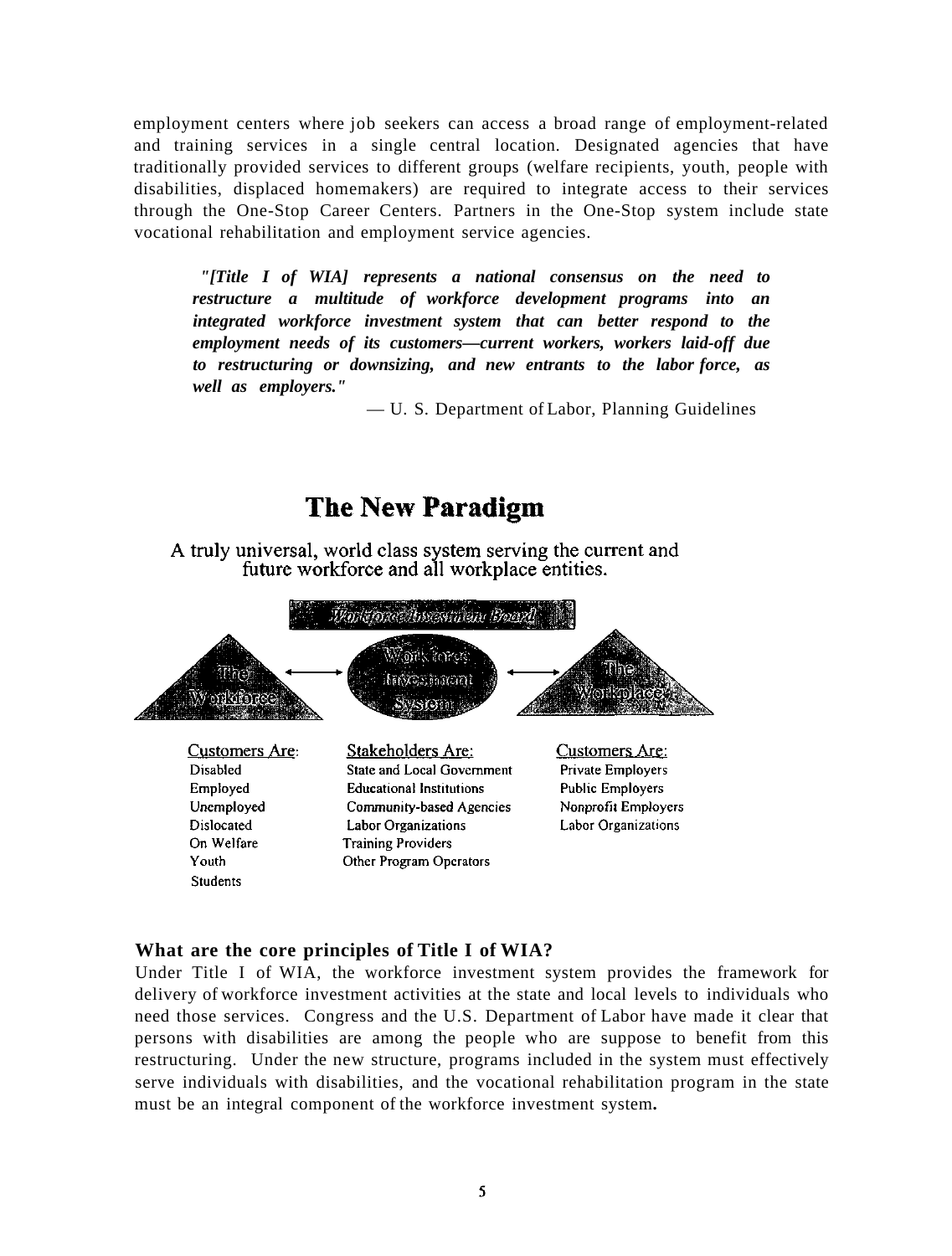employment centers where job seekers can access a broad range of employment-related and training services in a single central location. Designated agencies that have traditionally provided services to different groups (welfare recipients, youth, people with disabilities, displaced homemakers) are required to integrate access to their services through the One-Stop Career Centers. Partners in the One-Stop system include state vocational rehabilitation and employment service agencies.

*"[Title I of WIA] represents a national consensus on the need to restructure a multitude of workforce development programs into an integrated workforce investment system that can better respond to the employment needs of its customers—current workers, workers laid-off due to restructuring or downsizing, and new entrants to the labor force, as well as employers."* 

— U. S. Department of Labor, Planning Guidelines

#### **The New Paradigm** A truly universal, world class system serving the current and future workforce and all workplace entities. Thoristown Ausemann Board Mork laree invernaani W onklores **Wacam** Customers Are: Stakeholders Are: Customers Are: Disabled **State and Local Government** Private Employers Employed **Public Employers Educational Institutions** Unemployed Nonprofit Employers Community-based Agencies Dislocated Labor Organizations Labor Organizations On Welfare **Training Providers** Youth Other Program Operators **Students**

#### **What are the core principles of Title I of WIA?**

Under Title I of WIA, the workforce investment system provides the framework for delivery of workforce investment activities at the state and local levels to individuals who need those services. Congress and the U.S. Department of Labor have made it clear that persons with disabilities are among the people who are suppose to benefit from this restructuring. Under the new structure, programs included in the system must effectively serve individuals with disabilities, and the vocational rehabilitation program in the state must be an integral component of the workforce investment system**.**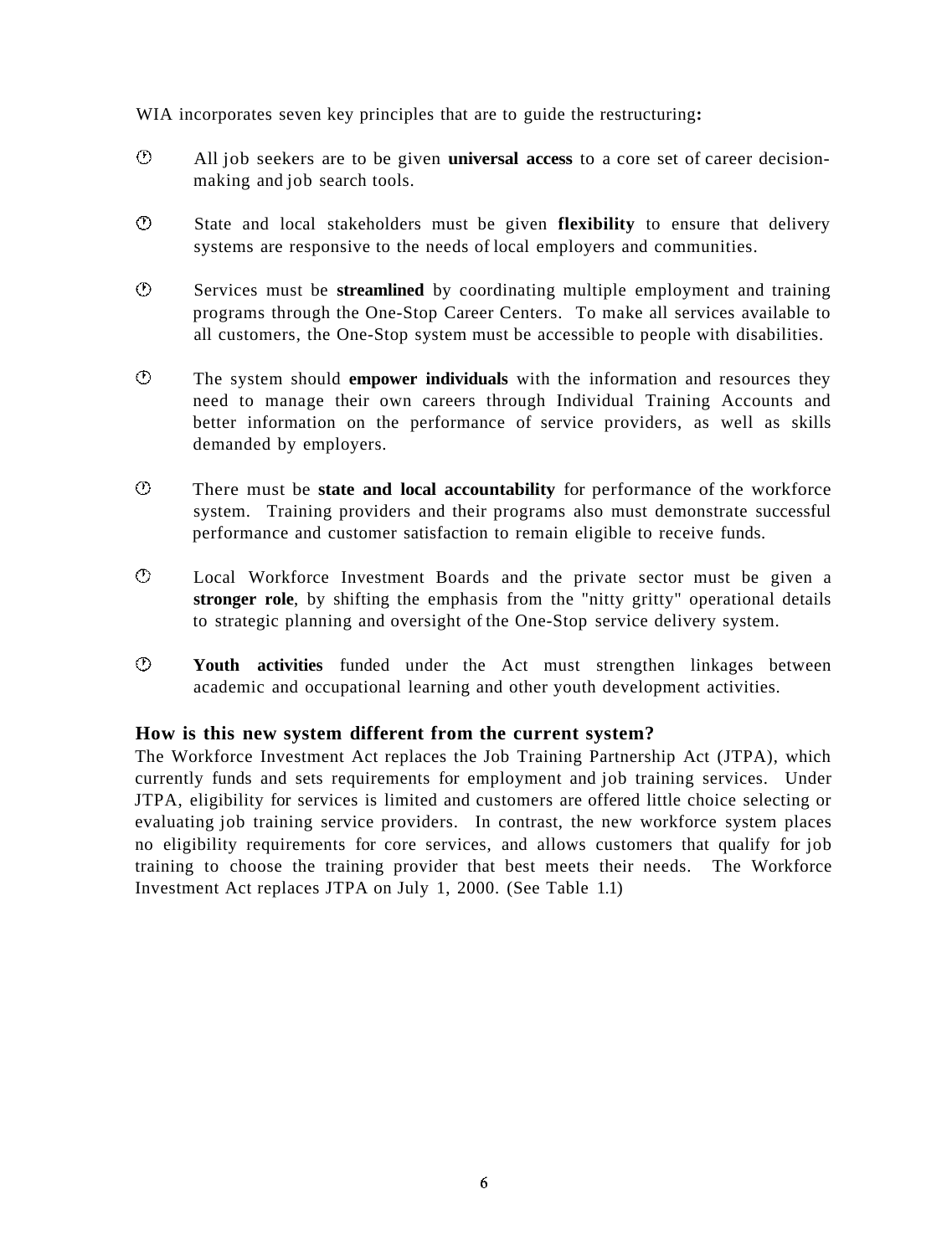WIA incorporates seven key principles that are to guide the restructuring**:** 

- $\mathcal{O}$ All job seekers are to be given **universal access** to a core set of career decisionmaking and job search tools.
- $\odot$ State and local stakeholders must be given **flexibility** to ensure that delivery systems are responsive to the needs of local employers and communities.
- $\odot$ Services must be **streamlined** by coordinating multiple employment and training programs through the One-Stop Career Centers. To make all services available to all customers, the One-Stop system must be accessible to people with disabilities.
- $\odot$ The system should **empower individuals** with the information and resources they need to manage their own careers through Individual Training Accounts and better information on the performance of service providers, as well as skills demanded by employers.
- $\odot$ There must be **state and local accountability** for performance of the workforce system. Training providers and their programs also must demonstrate successful performance and customer satisfaction to remain eligible to receive funds.
- $\odot$ Local Workforce Investment Boards and the private sector must be given a **stronger role**, by shifting the emphasis from the "nitty gritty" operational details to strategic planning and oversight of the One-Stop service delivery system.
- $\odot$ **Youth activities** funded under the Act must strengthen linkages between academic and occupational learning and other youth development activities.

#### **How is this new system different from the current system?**

The Workforce Investment Act replaces the Job Training Partnership Act (JTPA), which currently funds and sets requirements for employment and job training services. Under JTPA, eligibility for services is limited and customers are offered little choice selecting or evaluating job training service providers. In contrast, the new workforce system places no eligibility requirements for core services, and allows customers that qualify for job training to choose the training provider that best meets their needs. The Workforce Investment Act replaces JTPA on July 1, 2000. (See Table 1.1)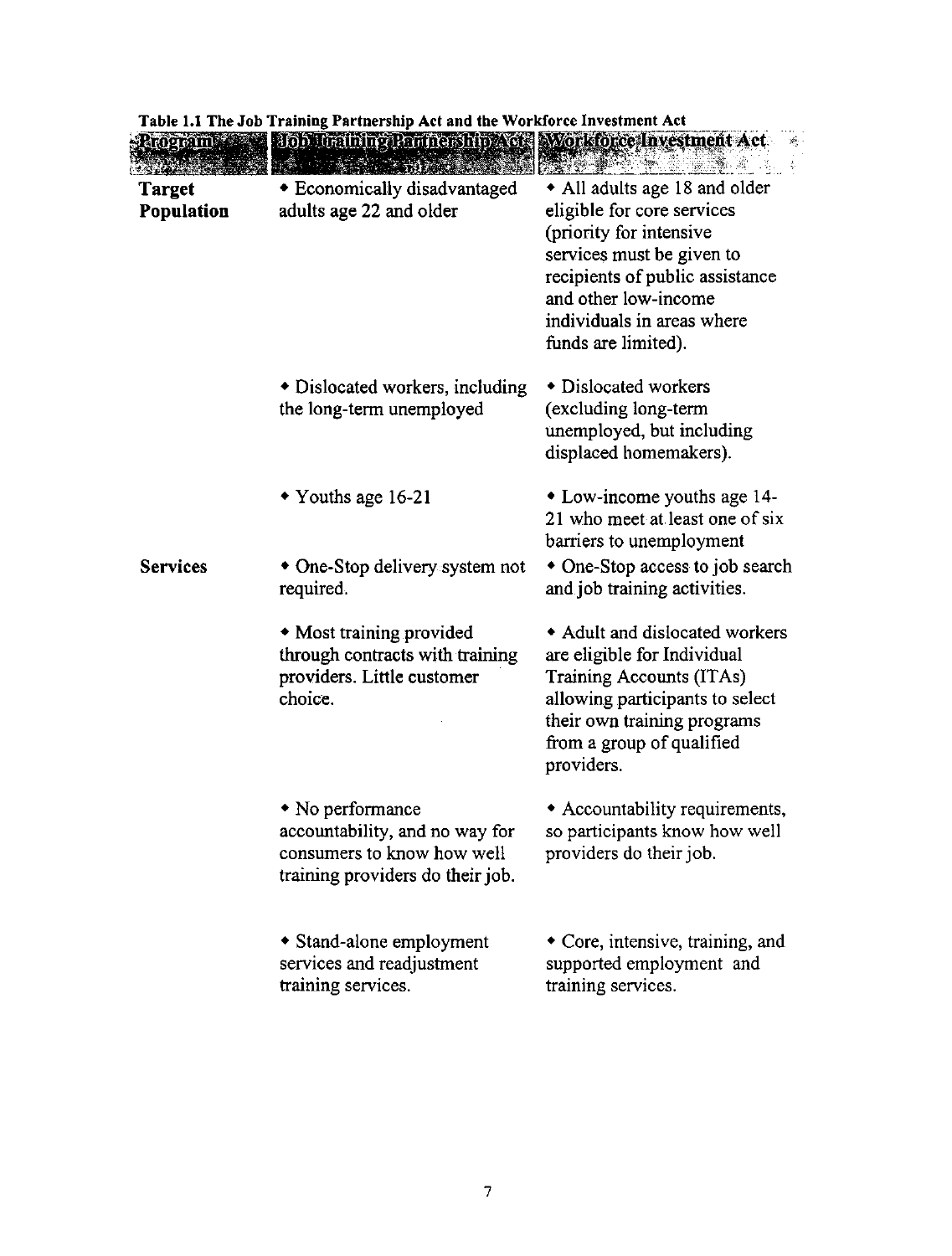|                      | Table 1.1 The Job Training Partnership Act and the Workforce Investment Act                                                                             |                                                                                                                                                                                                                                     |
|----------------------|---------------------------------------------------------------------------------------------------------------------------------------------------------|-------------------------------------------------------------------------------------------------------------------------------------------------------------------------------------------------------------------------------------|
|                      | $\mathbb{R}$ dog $\sigma$ im $\mathbb{R}$ and $\mathbb{R}$ is the thing laminary hip $\mathbb{X}$ or $\mathbb{R}$ work order investment $\mathbb{X}$ ct |                                                                                                                                                                                                                                     |
| Target<br>Population | <b>* Economically disadvantaged</b><br>adults age 22 and older                                                                                          | • All adults age 18 and older<br>eligible for core services<br>(priority for intensive<br>services must be given to<br>recipients of public assistance<br>and other low-income<br>individuals in areas where<br>funds are limited). |
|                      | • Dislocated workers, including<br>the long-term unemployed                                                                                             | • Dislocated workers<br>(excluding long-term<br>unemployed, but including<br>displaced homemakers).                                                                                                                                 |
|                      | • Youths age 16-21                                                                                                                                      | • Low-income youths age 14-<br>21 who meet at least one of six<br>barriers to unemployment                                                                                                                                          |
| <b>Services</b>      | $\bullet$ One-Stop delivery system not<br>required.                                                                                                     | • One-Stop access to job search<br>and job training activities.                                                                                                                                                                     |
|                      | • Most training provided<br>through contracts with training<br>providers. Little customer<br>choice.                                                    | • Adult and dislocated workers<br>are eligible for Individual<br>Training Accounts (ITAs)<br>allowing participants to select<br>their own training programs<br>from a group of qualified<br>providers.                              |
|                      | $\bullet$ No performance<br>accountability, and no way for<br>consumers to know how well<br>training providers do their job.                            | Accountability requirements,<br>so participants know how well<br>providers do their job.                                                                                                                                            |
|                      | • Stand-alone employment<br>services and readjustment<br>training services.                                                                             | $\bullet$ Core, intensive, training, and<br>supported employment and<br>training services.                                                                                                                                          |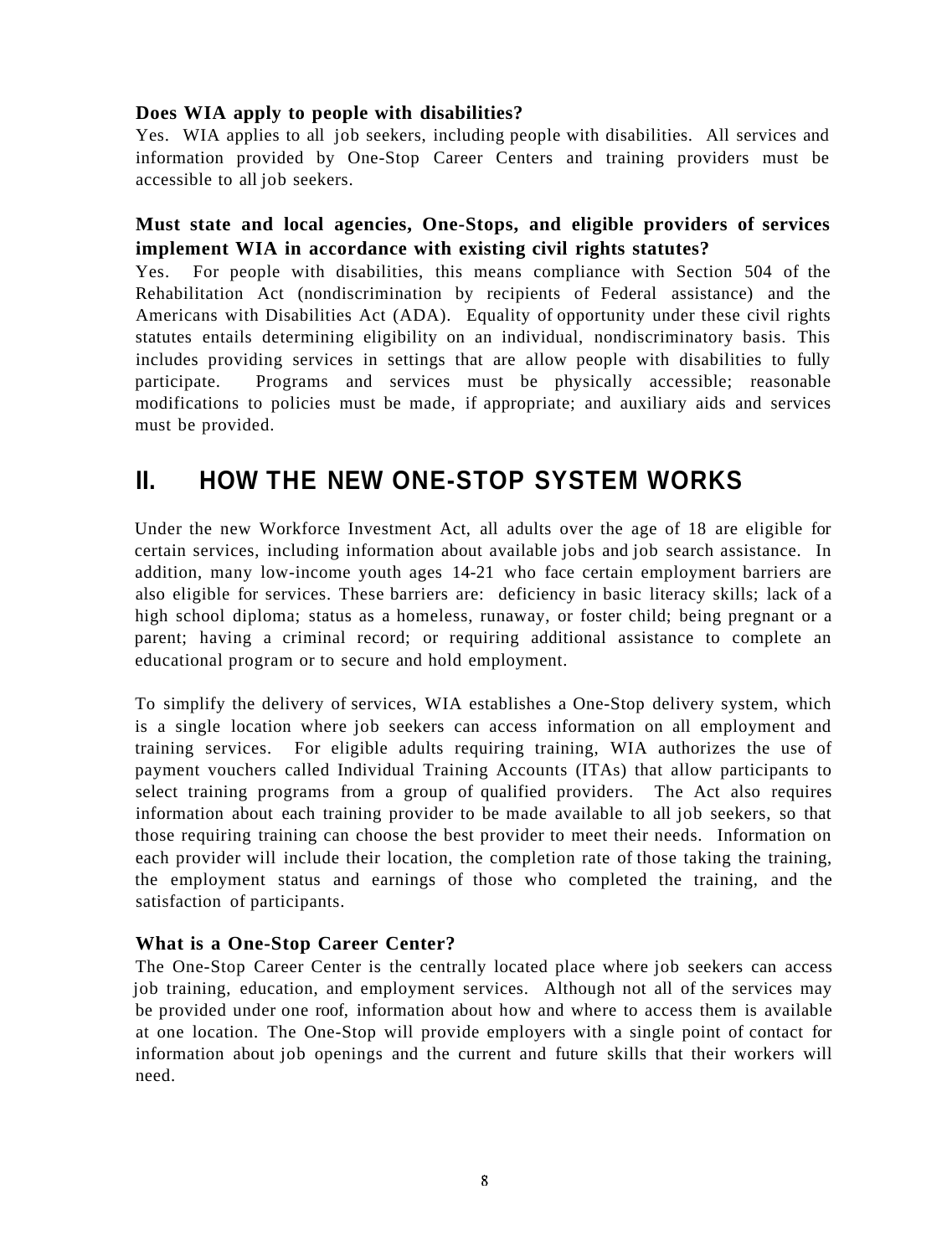#### **Does WIA apply to people with disabilities?**

Yes. WIA applies to all job seekers, including people with disabilities. All services and information provided by One-Stop Career Centers and training providers must be accessible to all job seekers.

#### **Must state and local agencies, One-Stops, and eligible providers of services implement WIA in accordance with existing civil rights statutes?**

Yes. For people with disabilities, this means compliance with Section 504 of the Rehabilitation Act (nondiscrimination by recipients of Federal assistance) and the Americans with Disabilities Act (ADA). Equality of opportunity under these civil rights statutes entails determining eligibility on an individual, nondiscriminatory basis. This includes providing services in settings that are allow people with disabilities to fully participate. Programs and services must be physically accessible; reasonable modifications to policies must be made, if appropriate; and auxiliary aids and services must be provided.

# **II. HOW THE NEW ONE-STOP SYSTEM WORKS**

Under the new Workforce Investment Act, all adults over the age of 18 are eligible for certain services, including information about available jobs and job search assistance. In addition, many low-income youth ages 14-21 who face certain employment barriers are also eligible for services. These barriers are: deficiency in basic literacy skills; lack of a high school diploma; status as a homeless, runaway, or foster child; being pregnant or a parent; having a criminal record; or requiring additional assistance to complete an educational program or to secure and hold employment.

To simplify the delivery of services, WIA establishes a One-Stop delivery system, which is a single location where job seekers can access information on all employment and training services. For eligible adults requiring training, WIA authorizes the use of payment vouchers called Individual Training Accounts (ITAs) that allow participants to select training programs from a group of qualified providers. The Act also requires information about each training provider to be made available to all job seekers, so that those requiring training can choose the best provider to meet their needs. Information on each provider will include their location, the completion rate of those taking the training, the employment status and earnings of those who completed the training, and the satisfaction of participants.

#### **What is a One-Stop Career Center?**

The One-Stop Career Center is the centrally located place where job seekers can access job training, education, and employment services. Although not all of the services may be provided under one roof, information about how and where to access them is available at one location. The One-Stop will provide employers with a single point of contact for information about job openings and the current and future skills that their workers will need.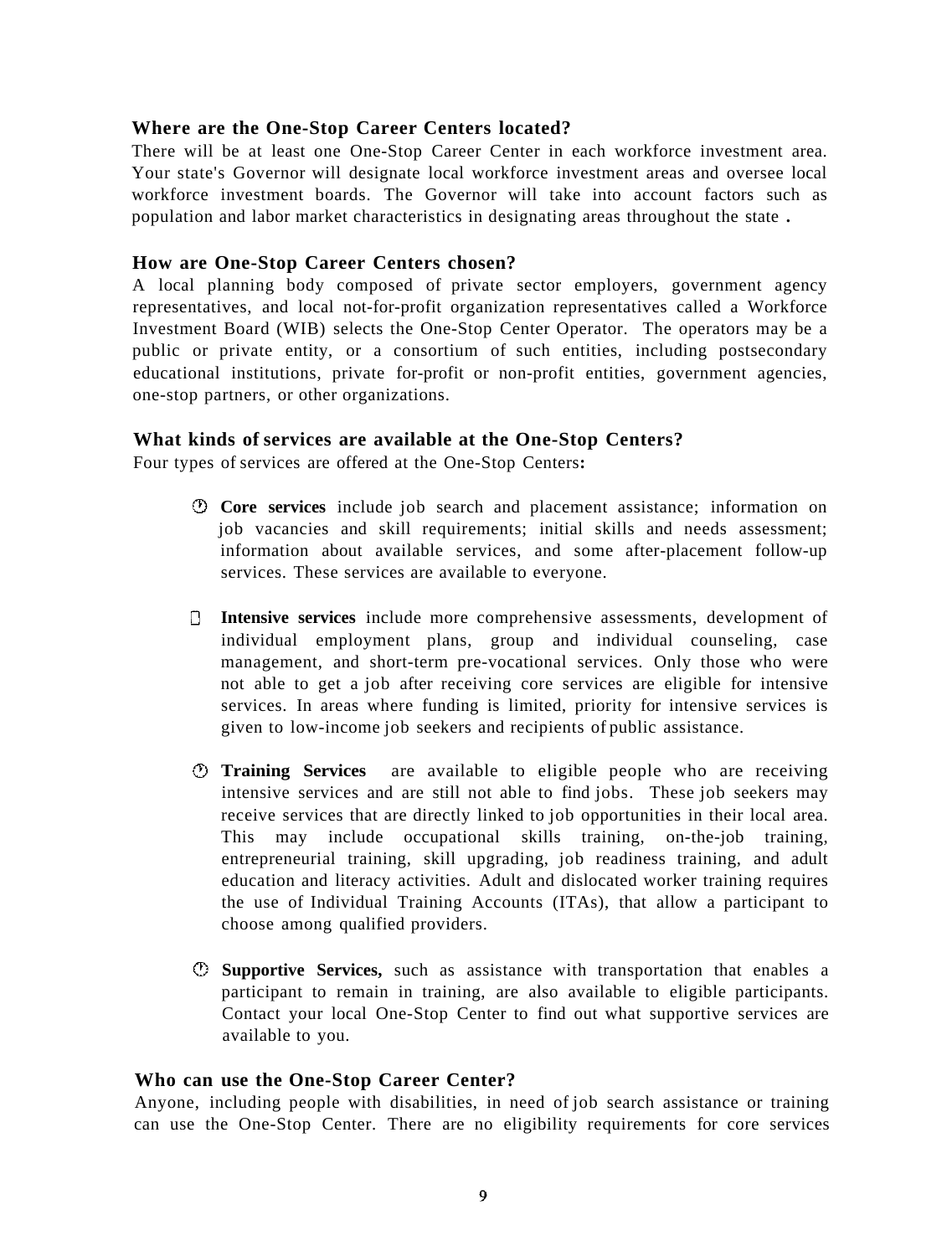#### **Where are the One-Stop Career Centers located?**

There will be at least one One-Stop Career Center in each workforce investment area. Your state's Governor will designate local workforce investment areas and oversee local workforce investment boards. The Governor will take into account factors such as population and labor market characteristics in designating areas throughout the state **.** 

#### **How are One-Stop Career Centers chosen?**

A local planning body composed of private sector employers, government agency representatives, and local not-for-profit organization representatives called a Workforce Investment Board (WIB) selects the One-Stop Center Operator. The operators may be a public or private entity, or a consortium of such entities, including postsecondary educational institutions, private for-profit or non-profit entities, government agencies, one-stop partners, or other organizations.

#### **What kinds of services are available at the One-Stop Centers?**

Four types of services are offered at the One-Stop Centers**:** 

- **Core services** include job search and placement assistance; information on job vacancies and skill requirements; initial skills and needs assessment; information about available services, and some after-placement follow-up services. These services are available to everyone.
- **Intensive services** include more comprehensive assessments, development of individual employment plans, group and individual counseling, case management, and short-term pre-vocational services. Only those who were not able to get a job after receiving core services are eligible for intensive services. In areas where funding is limited, priority for intensive services is given to low-income job seekers and recipients of public assistance.
- **Training Services** are available to eligible people who are receiving intensive services and are still not able to find jobs. These job seekers may receive services that are directly linked to job opportunities in their local area. This may include occupational skills training, on-the-job training, entrepreneurial training, skill upgrading, job readiness training, and adult education and literacy activities. Adult and dislocated worker training requires the use of Individual Training Accounts (ITAs), that allow a participant to choose among qualified providers.
- **Supportive Services,** such as assistance with transportation that enables a participant to remain in training, are also available to eligible participants. Contact your local One-Stop Center to find out what supportive services are available to you.

#### **Who can use the One-Stop Career Center?**

Anyone, including people with disabilities, in need of job search assistance or training can use the One-Stop Center. There are no eligibility requirements for core services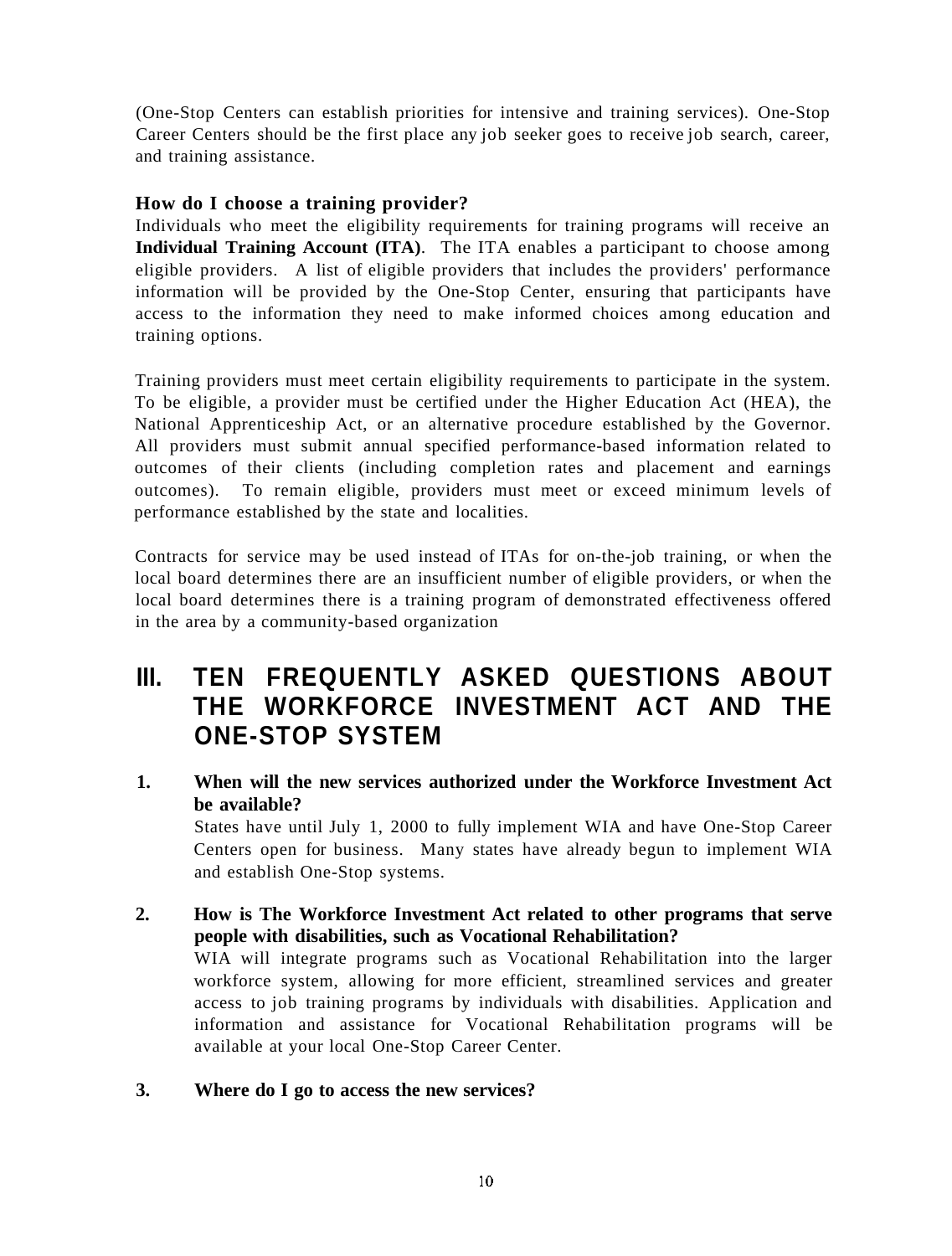(One-Stop Centers can establish priorities for intensive and training services). One-Stop Career Centers should be the first place any job seeker goes to receive job search, career, and training assistance.

#### **How do I choose a training provider?**

Individuals who meet the eligibility requirements for training programs will receive an **Individual Training Account (ITA)**. The ITA enables a participant to choose among eligible providers. A list of eligible providers that includes the providers' performance information will be provided by the One-Stop Center, ensuring that participants have access to the information they need to make informed choices among education and training options.

Training providers must meet certain eligibility requirements to participate in the system. To be eligible, a provider must be certified under the Higher Education Act (HEA), the National Apprenticeship Act, or an alternative procedure established by the Governor. All providers must submit annual specified performance-based information related to outcomes of their clients (including completion rates and placement and earnings outcomes). To remain eligible, providers must meet or exceed minimum levels of performance established by the state and localities.

Contracts for service may be used instead of ITAs for on-the-job training, or when the local board determines there are an insufficient number of eligible providers, or when the local board determines there is a training program of demonstrated effectiveness offered in the area by a community-based organization

### **III. TEN FREQUENTLY ASKED QUESTIONS ABOUT THE WORKFORCE INVESTMENT ACT AND THE ONE-STOP SYSTEM**

#### **1. When will the new services authorized under the Workforce Investment Act be available?**

States have until July 1, 2000 to fully implement WIA and have One-Stop Career Centers open for business. Many states have already begun to implement WIA and establish One-Stop systems.

#### **2. How is The Workforce Investment Act related to other programs that serve people with disabilities, such as Vocational Rehabilitation?**  WIA will integrate programs such as Vocational Rehabilitation into the larger workforce system, allowing for more efficient, streamlined services and greater access to job training programs by individuals with disabilities. Application and information and assistance for Vocational Rehabilitation programs will be available at your local One-Stop Career Center.

#### **3. Where do I go to access the new services?**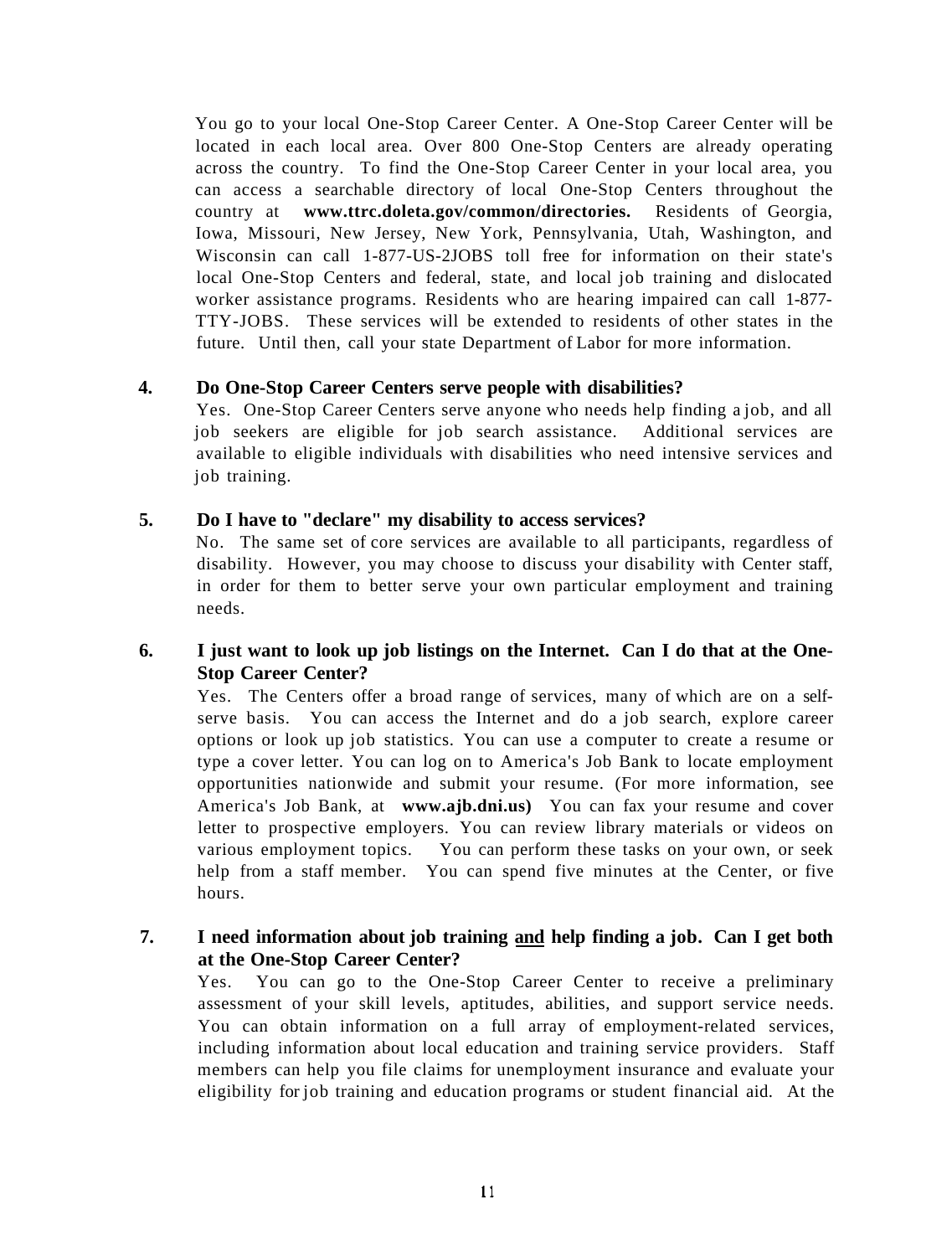You go to your local One-Stop Career Center. A One-Stop Career Center will be located in each local area. Over 800 One-Stop Centers are already operating across the country. To find the One-Stop Career Center in your local area, you can access a searchable directory of local One-Stop Centers throughout the country at **www.ttrc.doleta.gov/common/directories.** Residents of Georgia, Iowa, Missouri, New Jersey, New York, Pennsylvania, Utah, Washington, and Wisconsin can call 1-877-US-2JOBS toll free for information on their state's local One-Stop Centers and federal, state, and local job training and dislocated worker assistance programs. Residents who are hearing impaired can call 1-877- TTY-JOBS. These services will be extended to residents of other states in the future. Until then, call your state Department of Labor for more information.

#### **4. Do One-Stop Career Centers serve people with disabilities?**

Yes. One-Stop Career Centers serve anyone who needs help finding a job, and all job seekers are eligible for job search assistance. Additional services are available to eligible individuals with disabilities who need intensive services and job training.

#### **5. Do I have to "declare" my disability to access services?**

No. The same set of core services are available to all participants, regardless of disability. However, you may choose to discuss your disability with Center staff, in order for them to better serve your own particular employment and training needs.

#### **6. I just want to look up job listings on the Internet. Can I do that at the One-Stop Career Center?**

Yes. The Centers offer a broad range of services, many of which are on a selfserve basis. You can access the Internet and do a job search, explore career options or look up job statistics. You can use a computer to create a resume or type a cover letter. You can log on to America's Job Bank to locate employment opportunities nationwide and submit your resume. (For more information, see America's Job Bank, at **www.ajb.dni.us)** You can fax your resume and cover letter to prospective employers. You can review library materials or videos on various employment topics. You can perform these tasks on your own, or seek help from a staff member. You can spend five minutes at the Center, or five hours.

#### **7. I need information about job training and help finding a job. Can I get both at the One-Stop Career Center?**

Yes. You can go to the One-Stop Career Center to receive a preliminary assessment of your skill levels, aptitudes, abilities, and support service needs. You can obtain information on a full array of employment-related services, including information about local education and training service providers. Staff members can help you file claims for unemployment insurance and evaluate your eligibility for job training and education programs or student financial aid. At the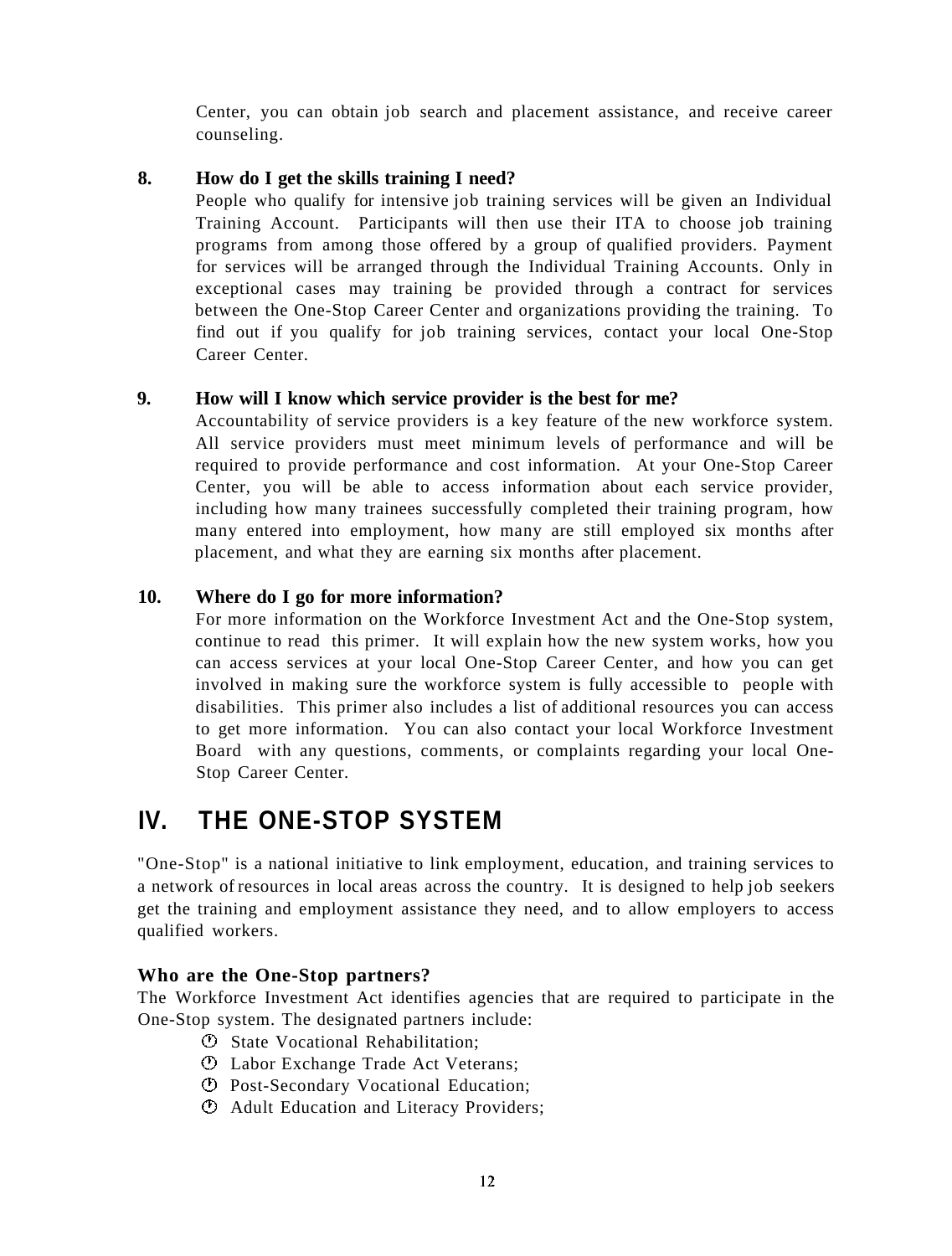Center, you can obtain job search and placement assistance, and receive career counseling.

#### **8. How do I get the skills training I need?**

People who qualify for intensive job training services will be given an Individual Training Account. Participants will then use their ITA to choose job training programs from among those offered by a group of qualified providers. Payment for services will be arranged through the Individual Training Accounts. Only in exceptional cases may training be provided through a contract for services between the One-Stop Career Center and organizations providing the training. To find out if you qualify for job training services, contact your local One-Stop Career Center.

#### **9. How will I know which service provider is the best for me?**

Accountability of service providers is a key feature of the new workforce system. All service providers must meet minimum levels of performance and will be required to provide performance and cost information. At your One-Stop Career Center, you will be able to access information about each service provider, including how many trainees successfully completed their training program, how many entered into employment, how many are still employed six months after placement, and what they are earning six months after placement.

#### **10. Where do I go for more information?**

For more information on the Workforce Investment Act and the One-Stop system, continue to read this primer. It will explain how the new system works, how you can access services at your local One-Stop Career Center, and how you can get involved in making sure the workforce system is fully accessible to people with disabilities. This primer also includes a list of additional resources you can access to get more information. You can also contact your local Workforce Investment Board with any questions, comments, or complaints regarding your local One-Stop Career Center.

# **IV. THE ONE-STOP SYSTEM**

"One-Stop" is a national initiative to link employment, education, and training services to a network of resources in local areas across the country. It is designed to help job seekers get the training and employment assistance they need, and to allow employers to access qualified workers.

#### **Who are the One-Stop partners?**

The Workforce Investment Act identifies agencies that are required to participate in the One-Stop system. The designated partners include:

- State Vocational Rehabilitation;
- Labor Exchange Trade Act Veterans;
- Post-Secondary Vocational Education;
- Adult Education and Literacy Providers;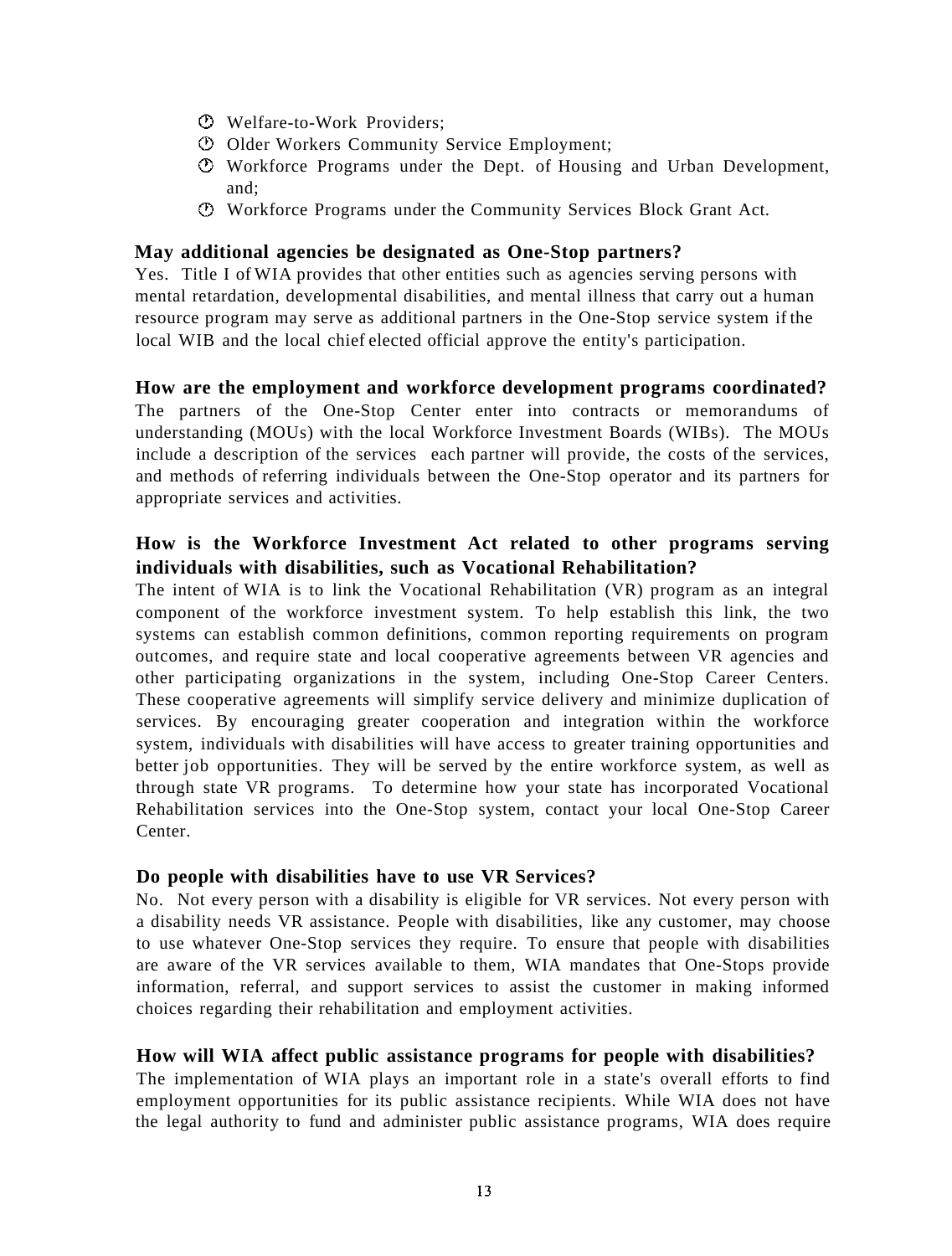- Welfare-to-Work Providers;
- Older Workers Community Service Employment;
- Workforce Programs under the Dept. of Housing and Urban Development, and;
- Workforce Programs under the Community Services Block Grant Act.

#### **May additional agencies be designated as One-Stop partners?**

Yes. Title I of WIA provides that other entities such as agencies serving persons with mental retardation, developmental disabilities, and mental illness that carry out a human resource program may serve as additional partners in the One-Stop service system if the local WIB and the local chief elected official approve the entity's participation.

#### **How are the employment and workforce development programs coordinated?**

The partners of the One-Stop Center enter into contracts or memorandums of understanding (MOUs) with the local Workforce Investment Boards (WIBs). The MOUs include a description of the services each partner will provide, the costs of the services, and methods of referring individuals between the One-Stop operator and its partners for appropriate services and activities.

#### **How is the Workforce Investment Act related to other programs serving individuals with disabilities, such as Vocational Rehabilitation?**

The intent of WIA is to link the Vocational Rehabilitation (VR) program as an integral component of the workforce investment system. To help establish this link, the two systems can establish common definitions, common reporting requirements on program outcomes, and require state and local cooperative agreements between VR agencies and other participating organizations in the system, including One-Stop Career Centers. These cooperative agreements will simplify service delivery and minimize duplication of services. By encouraging greater cooperation and integration within the workforce system, individuals with disabilities will have access to greater training opportunities and better job opportunities. They will be served by the entire workforce system, as well as through state VR programs. To determine how your state has incorporated Vocational Rehabilitation services into the One-Stop system, contact your local One-Stop Career Center.

#### **Do people with disabilities have to use VR Services?**

No. Not every person with a disability is eligible for VR services. Not every person with a disability needs VR assistance. People with disabilities, like any customer, may choose to use whatever One-Stop services they require. To ensure that people with disabilities are aware of the VR services available to them, WIA mandates that One-Stops provide information, referral, and support services to assist the customer in making informed choices regarding their rehabilitation and employment activities.

#### **How will WIA affect public assistance programs for people with disabilities?**

The implementation of WIA plays an important role in a state's overall efforts to find employment opportunities for its public assistance recipients. While WIA does not have the legal authority to fund and administer public assistance programs, WIA does require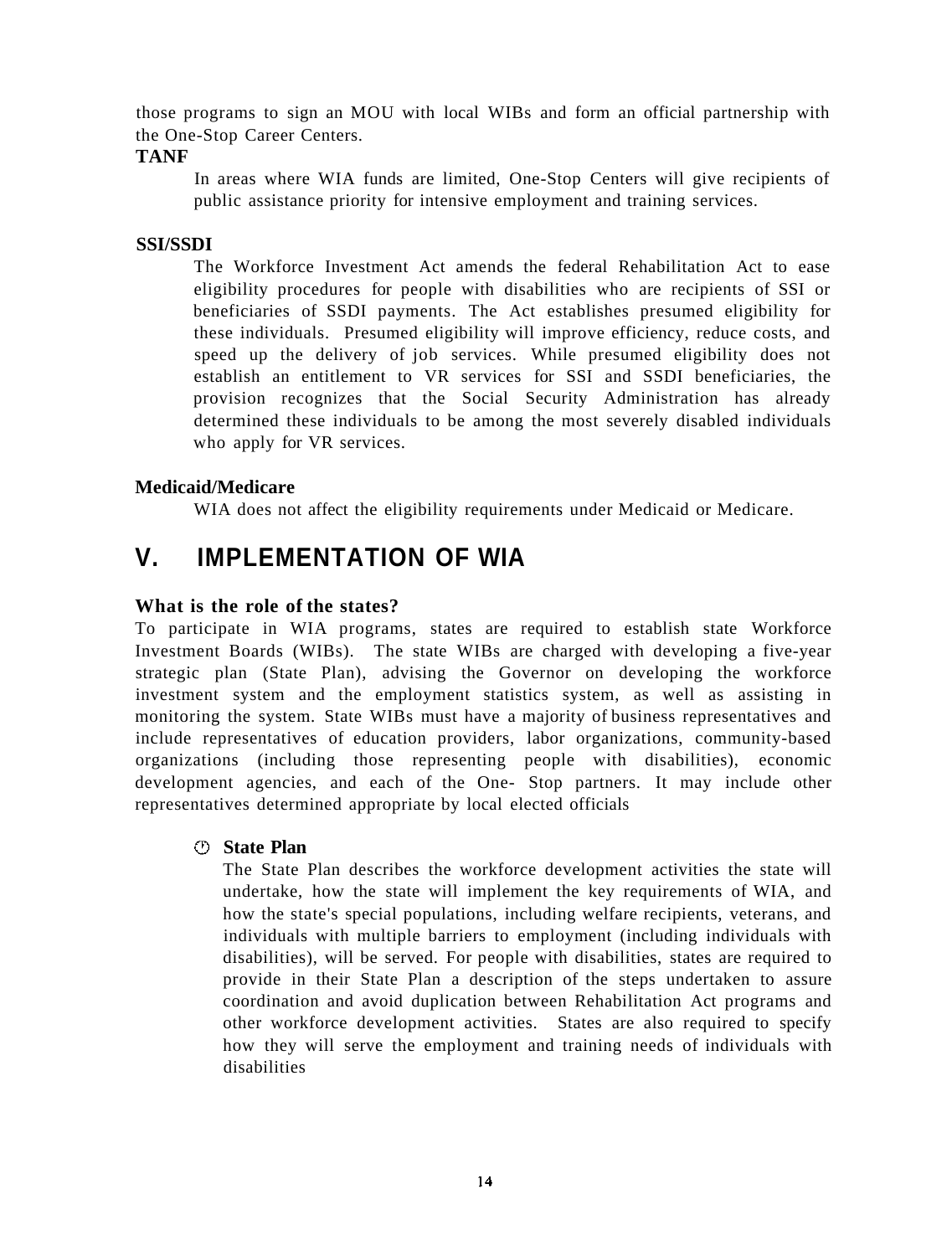those programs to sign an MOU with local WIBs and form an official partnership with the One-Stop Career Centers.

#### **TANF**

In areas where WIA funds are limited, One-Stop Centers will give recipients of public assistance priority for intensive employment and training services.

#### **SSI/SSDI**

The Workforce Investment Act amends the federal Rehabilitation Act to ease eligibility procedures for people with disabilities who are recipients of SSI or beneficiaries of SSDI payments. The Act establishes presumed eligibility for these individuals. Presumed eligibility will improve efficiency, reduce costs, and speed up the delivery of job services. While presumed eligibility does not establish an entitlement to VR services for SSI and SSDI beneficiaries, the provision recognizes that the Social Security Administration has already determined these individuals to be among the most severely disabled individuals who apply for VR services.

#### **Medicaid/Medicare**

WIA does not affect the eligibility requirements under Medicaid or Medicare.

### **V. IMPLEMENTATION OF WIA**

#### **What is the role of the states?**

To participate in WIA programs, states are required to establish state Workforce Investment Boards (WIBs). The state WIBs are charged with developing a five-year strategic plan (State Plan), advising the Governor on developing the workforce investment system and the employment statistics system, as well as assisting in monitoring the system. State WIBs must have a majority of business representatives and include representatives of education providers, labor organizations, community-based organizations (including those representing people with disabilities), economic development agencies, and each of the One- Stop partners. It may include other representatives determined appropriate by local elected officials

#### **State Plan**

The State Plan describes the workforce development activities the state will undertake, how the state will implement the key requirements of WIA, and how the state's special populations, including welfare recipients, veterans, and individuals with multiple barriers to employment (including individuals with disabilities), will be served. For people with disabilities, states are required to provide in their State Plan a description of the steps undertaken to assure coordination and avoid duplication between Rehabilitation Act programs and other workforce development activities. States are also required to specify how they will serve the employment and training needs of individuals with disabilities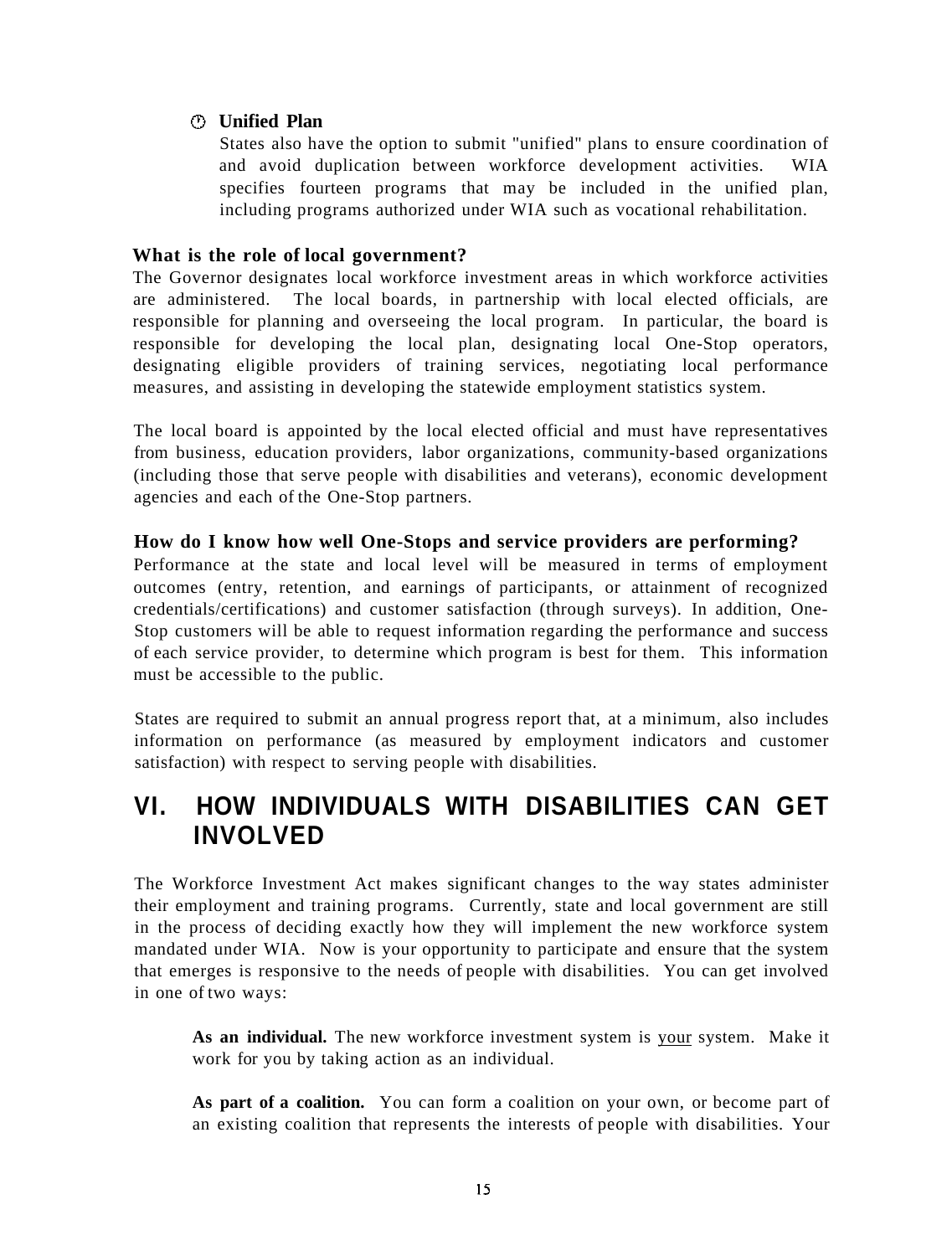#### **Unified Plan**

States also have the option to submit "unified" plans to ensure coordination of and avoid duplication between workforce development activities. WIA specifies fourteen programs that may be included in the unified plan, including programs authorized under WIA such as vocational rehabilitation.

#### **What is the role of local government?**

The Governor designates local workforce investment areas in which workforce activities are administered. The local boards, in partnership with local elected officials, are responsible for planning and overseeing the local program. In particular, the board is responsible for developing the local plan, designating local One-Stop operators, designating eligible providers of training services, negotiating local performance measures, and assisting in developing the statewide employment statistics system.

The local board is appointed by the local elected official and must have representatives from business, education providers, labor organizations, community-based organizations (including those that serve people with disabilities and veterans), economic development agencies and each of the One-Stop partners.

#### **How do I know how well One-Stops and service providers are performing?**

Performance at the state and local level will be measured in terms of employment outcomes (entry, retention, and earnings of participants, or attainment of recognized credentials/certifications) and customer satisfaction (through surveys). In addition, One-Stop customers will be able to request information regarding the performance and success of each service provider, to determine which program is best for them. This information must be accessible to the public.

States are required to submit an annual progress report that, at a minimum, also includes information on performance (as measured by employment indicators and customer satisfaction) with respect to serving people with disabilities.

# **VI. HOW INDIVIDUALS WITH DISABILITIES CAN GET INVOLVED**

The Workforce Investment Act makes significant changes to the way states administer their employment and training programs. Currently, state and local government are still in the process of deciding exactly how they will implement the new workforce system mandated under WIA. Now is your opportunity to participate and ensure that the system that emerges is responsive to the needs of people with disabilities. You can get involved in one of two ways:

**As an individual.** The new workforce investment system is your system. Make it work for you by taking action as an individual.

As part of a coalition. You can form a coalition on your own, or become part of an existing coalition that represents the interests of people with disabilities. Your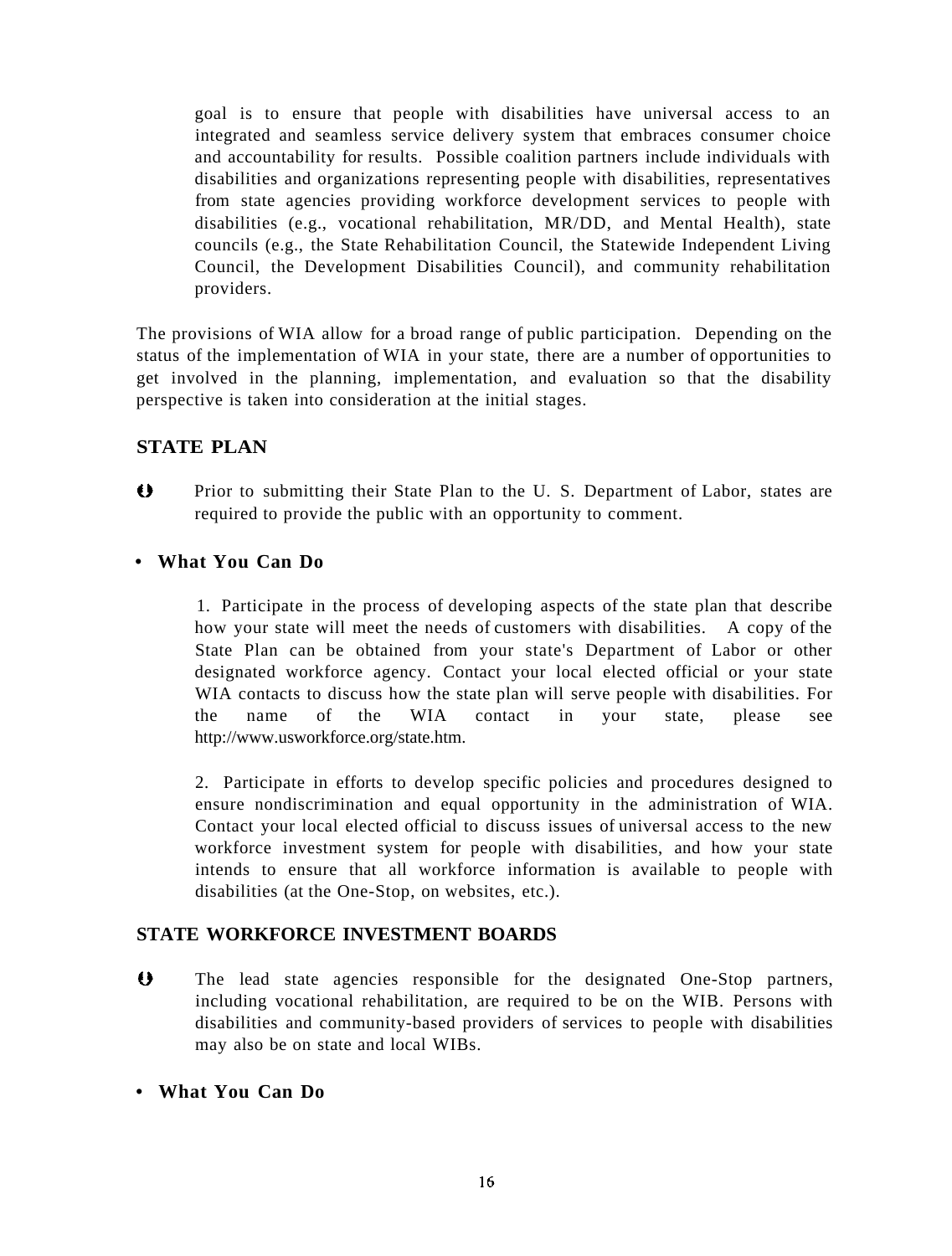goal is to ensure that people with disabilities have universal access to an integrated and seamless service delivery system that embraces consumer choice and accountability for results. Possible coalition partners include individuals with disabilities and organizations representing people with disabilities, representatives from state agencies providing workforce development services to people with disabilities (e.g., vocational rehabilitation, MR/DD, and Mental Health), state councils (e.g., the State Rehabilitation Council, the Statewide Independent Living Council, the Development Disabilities Council), and community rehabilitation providers.

The provisions of WIA allow for a broad range of public participation. Depending on the status of the implementation of WIA in your state, there are a number of opportunities to get involved in the planning, implementation, and evaluation so that the disability perspective is taken into consideration at the initial stages.

#### **STATE PLAN**

 $\bullet$ Prior to submitting their State Plan to the U. S. Department of Labor, states are required to provide the public with an opportunity to comment.

#### **• What You Can Do**

1. Participate in the process of developing aspects of the state plan that describe how your state will meet the needs of customers with disabilities. A copy of the State Plan can be obtained from your state's Department of Labor or other designated workforce agency. Contact your local elected official or your state WIA contacts to discuss how the state plan will serve people with disabilities. For the name of the WIA contact in your state, please see http://www.usworkforce.org/state.htm.

2. Participate in efforts to develop specific policies and procedures designed to ensure nondiscrimination and equal opportunity in the administration of WIA. Contact your local elected official to discuss issues of universal access to the new workforce investment system for people with disabilities, and how your state intends to ensure that all workforce information is available to people with disabilities (at the One-Stop, on websites, etc.).

#### **STATE WORKFORCE INVESTMENT BOARDS**

- $\leftrightarrow$ The lead state agencies responsible for the designated One-Stop partners, including vocational rehabilitation, are required to be on the WIB. Persons with disabilities and community-based providers of services to people with disabilities may also be on state and local WIBs.
- **What You Can Do**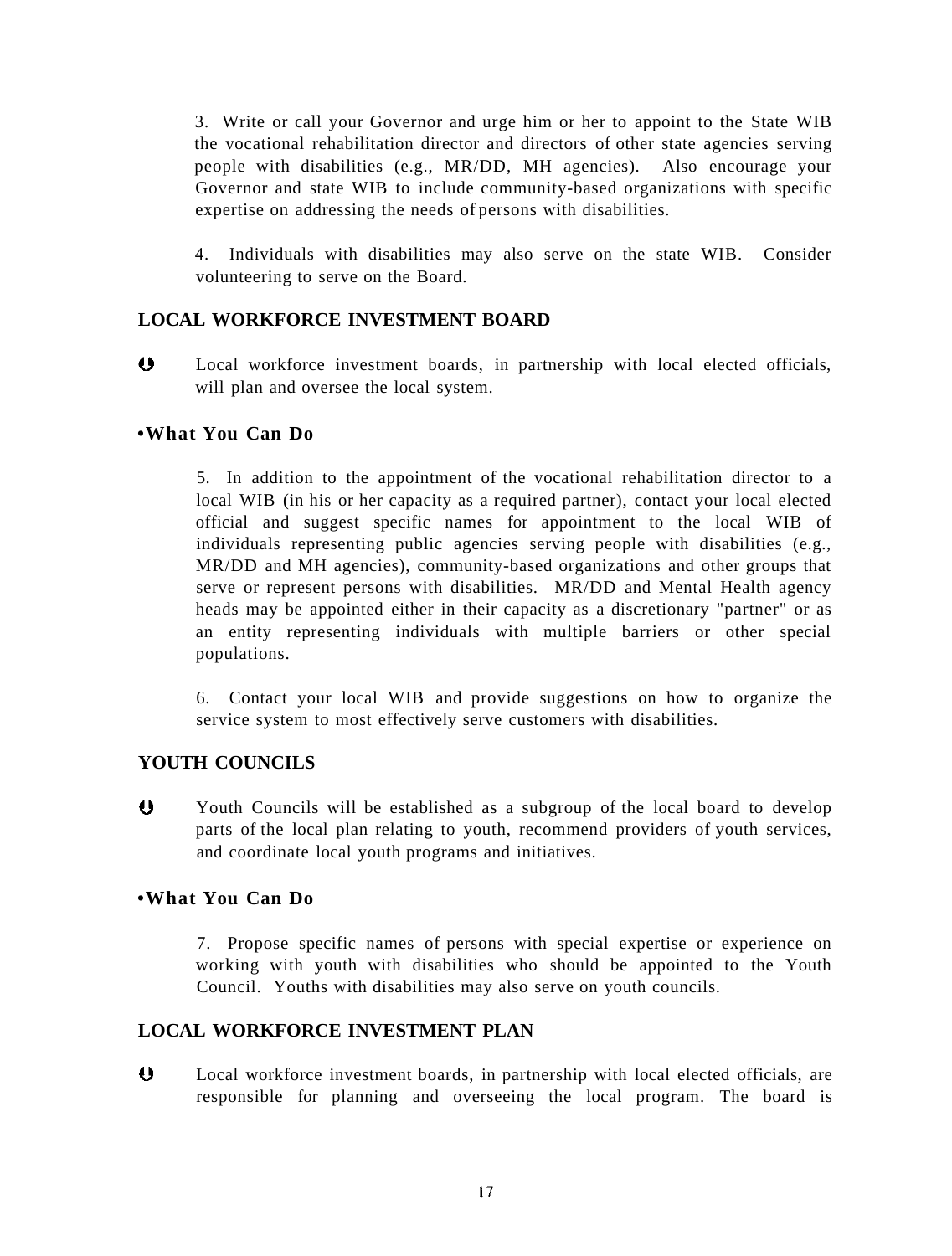3. Write or call your Governor and urge him or her to appoint to the State WIB the vocational rehabilitation director and directors of other state agencies serving people with disabilities (e.g., MR/DD, MH agencies). Also encourage your Governor and state WIB to include community-based organizations with specific expertise on addressing the needs of persons with disabilities.

4. Individuals with disabilities may also serve on the state WIB. Consider volunteering to serve on the Board.

#### **LOCAL WORKFORCE INVESTMENT BOARD**

 $\bullet$ Local workforce investment boards, in partnership with local elected officials, will plan and oversee the local system.

#### **•What You Can Do**

5. In addition to the appointment of the vocational rehabilitation director to a local WIB (in his or her capacity as a required partner), contact your local elected official and suggest specific names for appointment to the local WIB of individuals representing public agencies serving people with disabilities (e.g., MR/DD and MH agencies), community-based organizations and other groups that serve or represent persons with disabilities. MR/DD and Mental Health agency heads may be appointed either in their capacity as a discretionary "partner" or as an entity representing individuals with multiple barriers or other special populations.

6. Contact your local WIB and provide suggestions on how to organize the service system to most effectively serve customers with disabilities.

#### **YOUTH COUNCILS**

 $\overline{\mathbf{0}}$ Youth Councils will be established as a subgroup of the local board to develop parts of the local plan relating to youth, recommend providers of youth services, and coordinate local youth programs and initiatives.

#### **•What You Can Do**

7. Propose specific names of persons with special expertise or experience on working with youth with disabilities who should be appointed to the Youth Council. Youths with disabilities may also serve on youth councils.

#### **LOCAL WORKFORCE INVESTMENT PLAN**

 $\bullet$ Local workforce investment boards, in partnership with local elected officials, are responsible for planning and overseeing the local program. The board is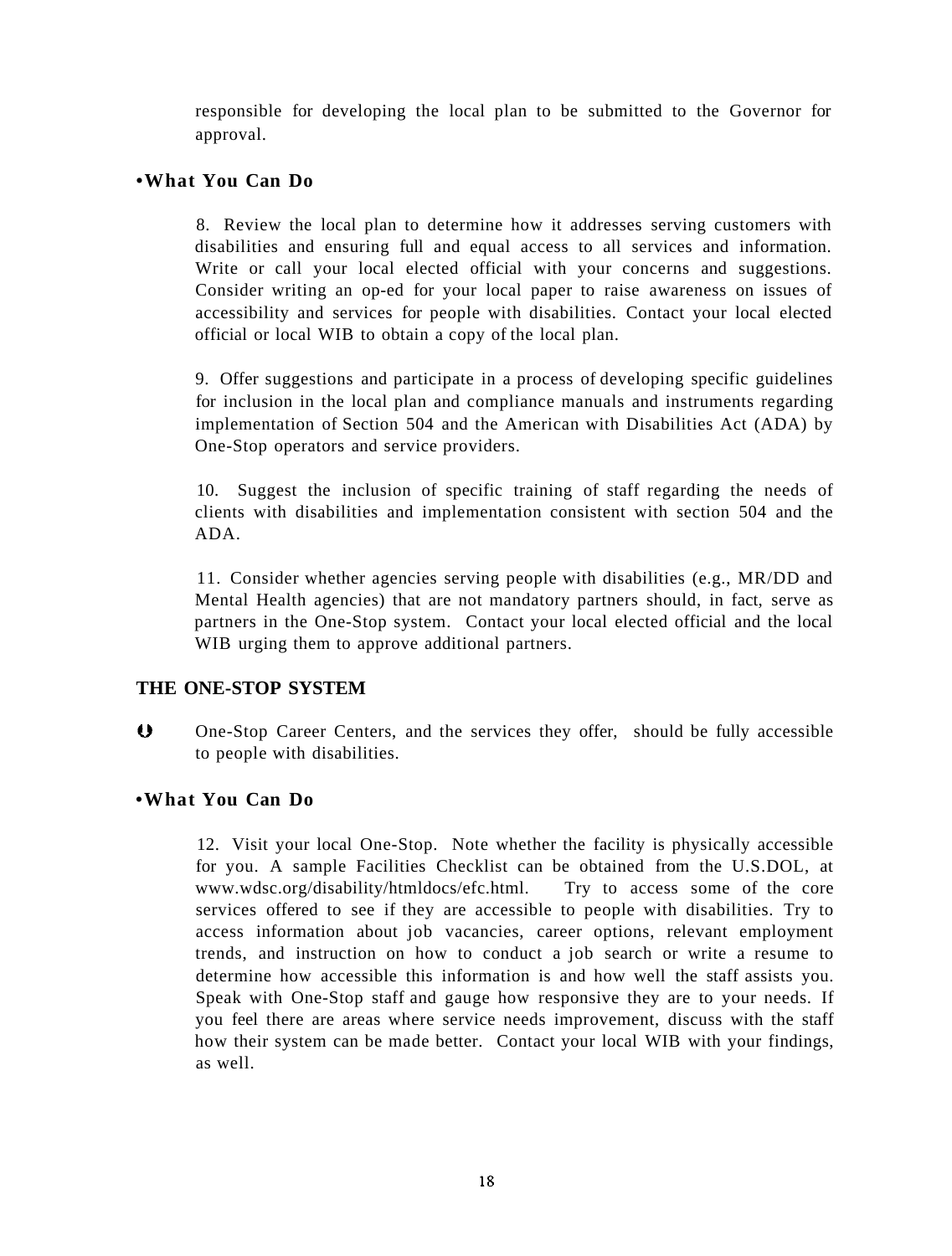responsible for developing the local plan to be submitted to the Governor for approval.

#### **•What You Can Do**

8. Review the local plan to determine how it addresses serving customers with disabilities and ensuring full and equal access to all services and information. Write or call your local elected official with your concerns and suggestions. Consider writing an op-ed for your local paper to raise awareness on issues of accessibility and services for people with disabilities. Contact your local elected official or local WIB to obtain a copy of the local plan.

9. Offer suggestions and participate in a process of developing specific guidelines for inclusion in the local plan and compliance manuals and instruments regarding implementation of Section 504 and the American with Disabilities Act (ADA) by One-Stop operators and service providers.

10. Suggest the inclusion of specific training of staff regarding the needs of clients with disabilities and implementation consistent with section 504 and the ADA.

11. Consider whether agencies serving people with disabilities (e.g., MR/DD and Mental Health agencies) that are not mandatory partners should, in fact, serve as partners in the One-Stop system. Contact your local elected official and the local WIB urging them to approve additional partners.

#### **THE ONE-STOP SYSTEM**

 $\bullet$ One-Stop Career Centers, and the services they offer, should be fully accessible to people with disabilities.

#### **•What You Can Do**

12. Visit your local One-Stop. Note whether the facility is physically accessible for you. A sample Facilities Checklist can be obtained from the U.S.DOL, at www.wdsc.org/disability/htmldocs/efc.html. Try to access some of the core services offered to see if they are accessible to people with disabilities. Try to access information about job vacancies, career options, relevant employment trends, and instruction on how to conduct a job search or write a resume to determine how accessible this information is and how well the staff assists you. Speak with One-Stop staff and gauge how responsive they are to your needs. If you feel there are areas where service needs improvement, discuss with the staff how their system can be made better. Contact your local WIB with your findings, as well.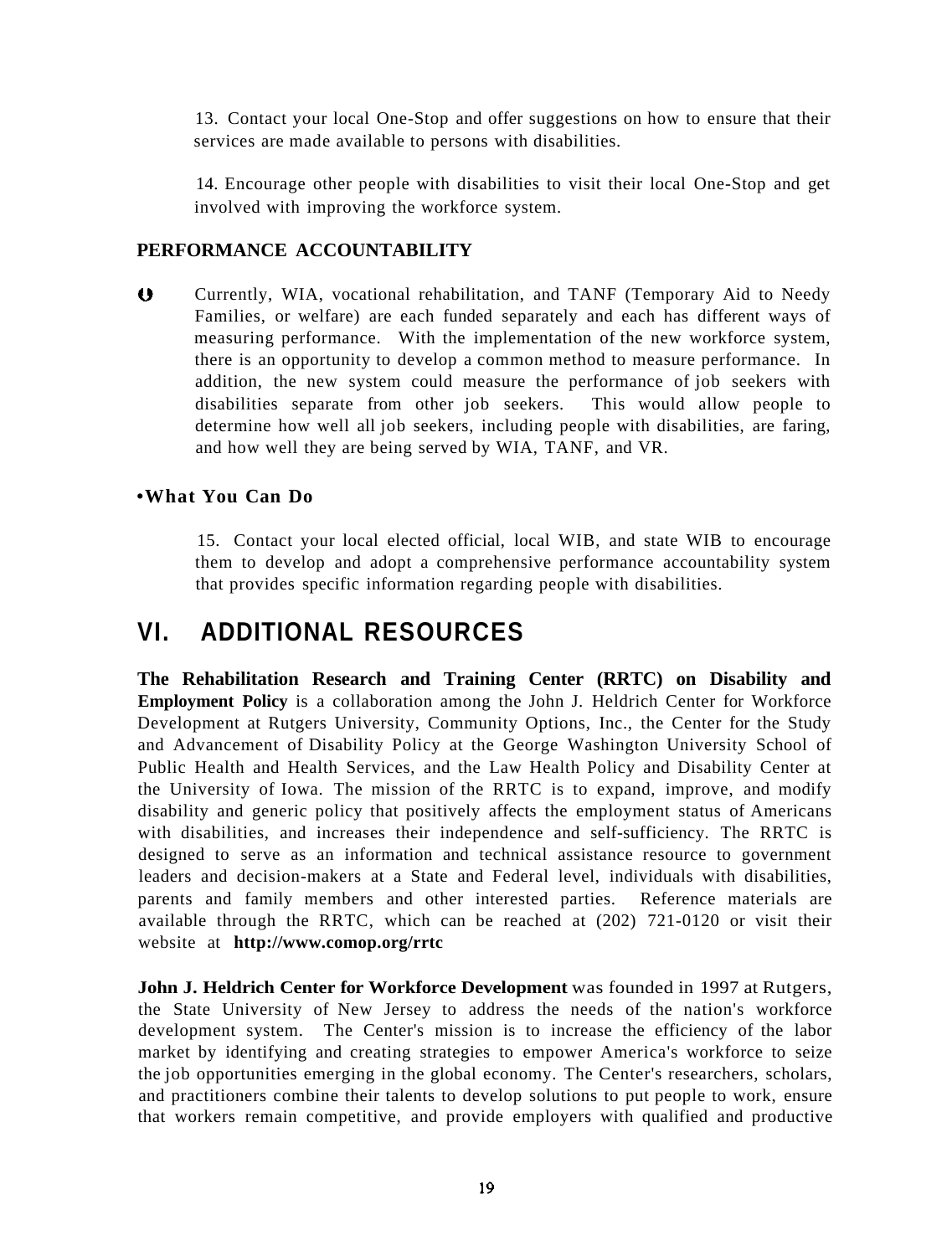13. Contact your local One-Stop and offer suggestions on how to ensure that their services are made available to persons with disabilities.

14. Encourage other people with disabilities to visit their local One-Stop and get involved with improving the workforce system.

#### **PERFORMANCE ACCOUNTABILITY**

 $\bullet$ Currently, WIA, vocational rehabilitation, and TANF (Temporary Aid to Needy Families, or welfare) are each funded separately and each has different ways of measuring performance. With the implementation of the new workforce system, there is an opportunity to develop a common method to measure performance. In addition, the new system could measure the performance of job seekers with disabilities separate from other job seekers. This would allow people to determine how well all job seekers, including people with disabilities, are faring, and how well they are being served by WIA, TANF, and VR.

#### **•What You Can Do**

15. Contact your local elected official, local WIB, and state WIB to encourage them to develop and adopt a comprehensive performance accountability system that provides specific information regarding people with disabilities.

# **VI. ADDITIONAL RESOURCES**

**The Rehabilitation Research and Training Center (RRTC) on Disability and Employment Policy** is a collaboration among the John J. Heldrich Center for Workforce Development at Rutgers University, Community Options, Inc., the Center for the Study and Advancement of Disability Policy at the George Washington University School of Public Health and Health Services, and the Law Health Policy and Disability Center at the University of Iowa. The mission of the RRTC is to expand, improve, and modify disability and generic policy that positively affects the employment status of Americans with disabilities, and increases their independence and self-sufficiency. The RRTC is designed to serve as an information and technical assistance resource to government leaders and decision-makers at a State and Federal level, individuals with disabilities, parents and family members and other interested parties. Reference materials are available through the RRTC, which can be reached at (202) 721-0120 or visit their website at **http://www.comop.org/rrtc** 

**John J. Heldrich Center for Workforce Development** was founded in 1997 at Rutgers, the State University of New Jersey to address the needs of the nation's workforce development system. The Center's mission is to increase the efficiency of the labor market by identifying and creating strategies to empower America's workforce to seize the job opportunities emerging in the global economy. The Center's researchers, scholars, and practitioners combine their talents to develop solutions to put people to work, ensure that workers remain competitive, and provide employers with qualified and productive